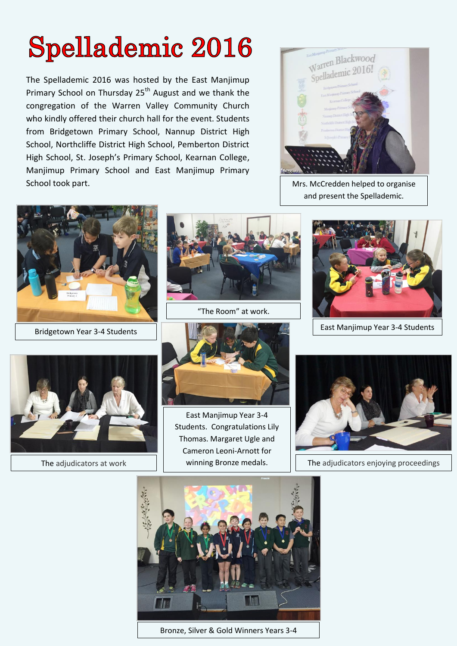## **Spellademic 2016**

The Spellademic 2016 was hosted by the East Manjimup Primary School on Thursday 25<sup>th</sup> August and we thank the congregation of the Warren Valley Community Church who kindly offered their church hall for the event. Students from Bridgetown Primary School, Nannup District High School, Northcliffe District High School, Pemberton District High School, St. Joseph's Primary School, Kearnan College, Manjimup Primary School and East Manjimup Primary School took part. The state of the state of the state of the Mrs. McCredden helped to organise



and present the Spellademic.





"The Room" at work.







East Manjimup Year 3-4 Students. Congratulations Lily Thomas. Margaret Ugle and Cameron Leoni-Arnott for



The adjudicators at work  $\vert \vert$  winning Bronze medals.  $\vert \vert$  The adjudicators enjoying proceedings



Bronze, Silver & Gold Winners Years 3-4